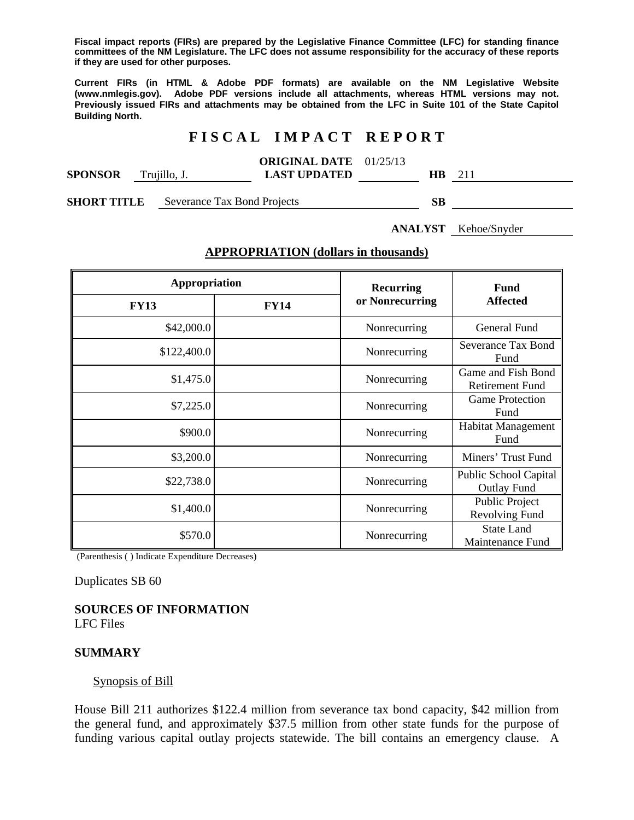**Fiscal impact reports (FIRs) are prepared by the Legislative Finance Committee (LFC) for standing finance committees of the NM Legislature. The LFC does not assume responsibility for the accuracy of these reports if they are used for other purposes.** 

**Current FIRs (in HTML & Adobe PDF formats) are available on the NM Legislative Website (www.nmlegis.gov). Adobe PDF versions include all attachments, whereas HTML versions may not. Previously issued FIRs and attachments may be obtained from the LFC in Suite 101 of the State Capitol Building North.**

## **F I S C A L I M P A C T R E P O R T**

|                |              | <b>ORIGINAL DATE</b> 01/25/13 |     |              |
|----------------|--------------|-------------------------------|-----|--------------|
| <b>SPONSOR</b> | Trujillo, J. | <b>LAST UPDATED</b>           | HB. | $21^{\circ}$ |
|                |              |                               |     |              |

**SHORT TITLE** Severance Tax Bond Projects **SB** 

**ANALYST** Kehoe/Snyder

### **APPROPRIATION (dollars in thousands)**

| Appropriation |             | <b>Recurring</b> | <b>Fund</b>                                        |
|---------------|-------------|------------------|----------------------------------------------------|
| <b>FY13</b>   | <b>FY14</b> | or Nonrecurring  | <b>Affected</b>                                    |
| \$42,000.0    |             | Nonrecurring     | <b>General Fund</b>                                |
| \$122,400.0   |             | Nonrecurring     | <b>Severance Tax Bond</b><br>Fund                  |
| \$1,475.0     |             | Nonrecurring     | Game and Fish Bond<br><b>Retirement Fund</b>       |
| \$7,225.0     |             | Nonrecurring     | <b>Game Protection</b><br>Fund                     |
| \$900.0       |             | Nonrecurring     | Habitat Management<br>Fund                         |
| \$3,200.0     |             | Nonrecurring     | Miners' Trust Fund                                 |
| \$22,738.0    |             | Nonrecurring     | <b>Public School Capital</b><br><b>Outlay Fund</b> |
| \$1,400.0     |             | Nonrecurring     | Public Project<br>Revolving Fund                   |
| \$570.0       |             | Nonrecurring     | <b>State Land</b><br>Maintenance Fund              |

(Parenthesis ( ) Indicate Expenditure Decreases)

Duplicates SB 60

**SOURCES OF INFORMATION** 

LFC Files

#### **SUMMARY**

#### Synopsis of Bill

House Bill 211 authorizes \$122.4 million from severance tax bond capacity, \$42 million from the general fund, and approximately \$37.5 million from other state funds for the purpose of funding various capital outlay projects statewide. The bill contains an emergency clause. A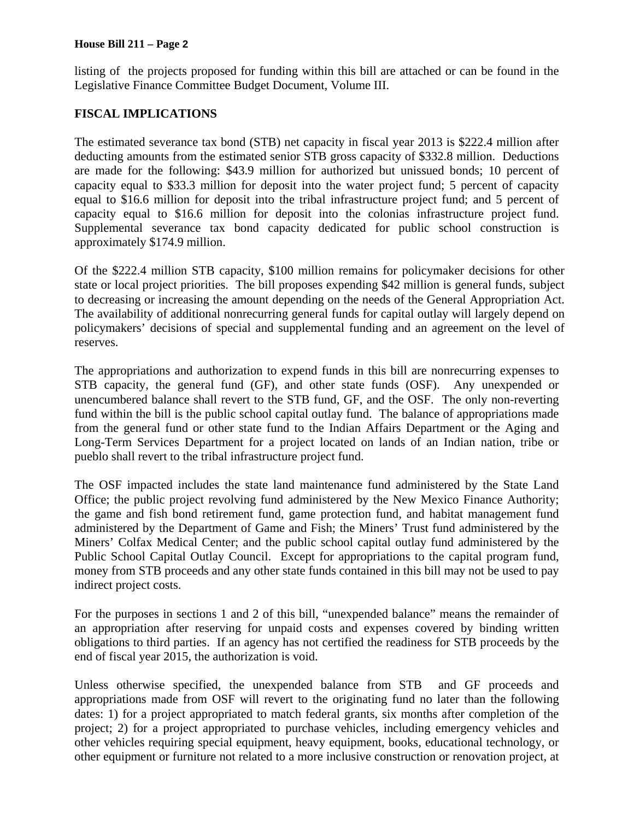#### **House Bill 211 – Page 2**

listing of the projects proposed for funding within this bill are attached or can be found in the Legislative Finance Committee Budget Document, Volume III.

# **FISCAL IMPLICATIONS**

The estimated severance tax bond (STB) net capacity in fiscal year 2013 is \$222.4 million after deducting amounts from the estimated senior STB gross capacity of \$332.8 million. Deductions are made for the following: \$43.9 million for authorized but unissued bonds; 10 percent of capacity equal to \$33.3 million for deposit into the water project fund; 5 percent of capacity equal to \$16.6 million for deposit into the tribal infrastructure project fund; and 5 percent of capacity equal to \$16.6 million for deposit into the colonias infrastructure project fund. Supplemental severance tax bond capacity dedicated for public school construction is approximately \$174.9 million.

Of the \$222.4 million STB capacity, \$100 million remains for policymaker decisions for other state or local project priorities. The bill proposes expending \$42 million is general funds, subject to decreasing or increasing the amount depending on the needs of the General Appropriation Act. The availability of additional nonrecurring general funds for capital outlay will largely depend on policymakers' decisions of special and supplemental funding and an agreement on the level of reserves.

The appropriations and authorization to expend funds in this bill are nonrecurring expenses to STB capacity, the general fund (GF), and other state funds (OSF). Any unexpended or unencumbered balance shall revert to the STB fund, GF, and the OSF. The only non-reverting fund within the bill is the public school capital outlay fund. The balance of appropriations made from the general fund or other state fund to the Indian Affairs Department or the Aging and Long-Term Services Department for a project located on lands of an Indian nation, tribe or pueblo shall revert to the tribal infrastructure project fund.

The OSF impacted includes the state land maintenance fund administered by the State Land Office; the public project revolving fund administered by the New Mexico Finance Authority; the game and fish bond retirement fund, game protection fund, and habitat management fund administered by the Department of Game and Fish; the Miners' Trust fund administered by the Miners' Colfax Medical Center; and the public school capital outlay fund administered by the Public School Capital Outlay Council. Except for appropriations to the capital program fund, money from STB proceeds and any other state funds contained in this bill may not be used to pay indirect project costs.

For the purposes in sections 1 and 2 of this bill, "unexpended balance" means the remainder of an appropriation after reserving for unpaid costs and expenses covered by binding written obligations to third parties. If an agency has not certified the readiness for STB proceeds by the end of fiscal year 2015, the authorization is void.

Unless otherwise specified, the unexpended balance from STB and GF proceeds and appropriations made from OSF will revert to the originating fund no later than the following dates: 1) for a project appropriated to match federal grants, six months after completion of the project; 2) for a project appropriated to purchase vehicles, including emergency vehicles and other vehicles requiring special equipment, heavy equipment, books, educational technology, or other equipment or furniture not related to a more inclusive construction or renovation project, at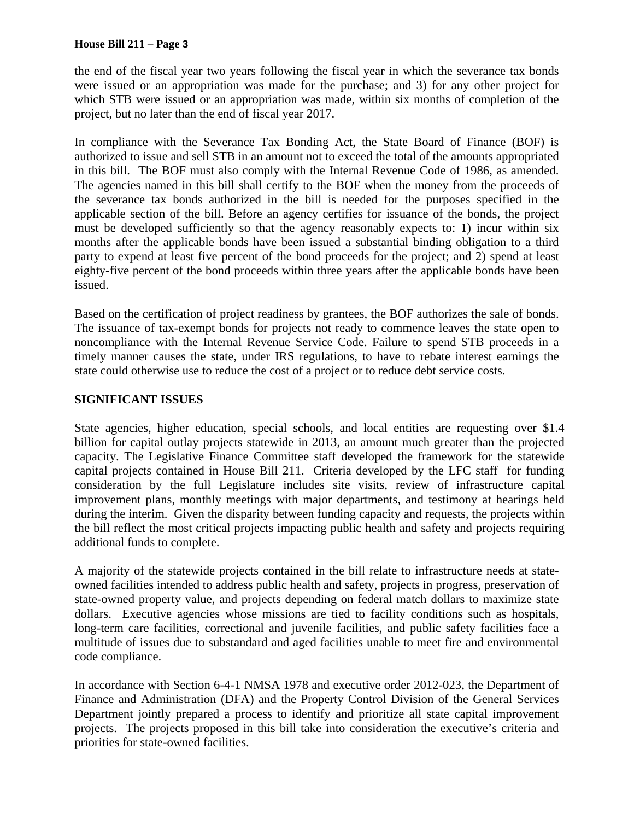### **House Bill 211 – Page 3**

the end of the fiscal year two years following the fiscal year in which the severance tax bonds were issued or an appropriation was made for the purchase; and 3) for any other project for which STB were issued or an appropriation was made, within six months of completion of the project, but no later than the end of fiscal year 2017.

In compliance with the Severance Tax Bonding Act, the State Board of Finance (BOF) is authorized to issue and sell STB in an amount not to exceed the total of the amounts appropriated in this bill. The BOF must also comply with the Internal Revenue Code of 1986, as amended. The agencies named in this bill shall certify to the BOF when the money from the proceeds of the severance tax bonds authorized in the bill is needed for the purposes specified in the applicable section of the bill. Before an agency certifies for issuance of the bonds, the project must be developed sufficiently so that the agency reasonably expects to: 1) incur within six months after the applicable bonds have been issued a substantial binding obligation to a third party to expend at least five percent of the bond proceeds for the project; and 2) spend at least eighty-five percent of the bond proceeds within three years after the applicable bonds have been issued.

Based on the certification of project readiness by grantees, the BOF authorizes the sale of bonds. The issuance of tax-exempt bonds for projects not ready to commence leaves the state open to noncompliance with the Internal Revenue Service Code. Failure to spend STB proceeds in a timely manner causes the state, under IRS regulations, to have to rebate interest earnings the state could otherwise use to reduce the cost of a project or to reduce debt service costs.

## **SIGNIFICANT ISSUES**

State agencies, higher education, special schools, and local entities are requesting over \$1.4 billion for capital outlay projects statewide in 2013, an amount much greater than the projected capacity. The Legislative Finance Committee staff developed the framework for the statewide capital projects contained in House Bill 211. Criteria developed by the LFC staff for funding consideration by the full Legislature includes site visits, review of infrastructure capital improvement plans, monthly meetings with major departments, and testimony at hearings held during the interim. Given the disparity between funding capacity and requests, the projects within the bill reflect the most critical projects impacting public health and safety and projects requiring additional funds to complete.

A majority of the statewide projects contained in the bill relate to infrastructure needs at stateowned facilities intended to address public health and safety, projects in progress, preservation of state-owned property value, and projects depending on federal match dollars to maximize state dollars. Executive agencies whose missions are tied to facility conditions such as hospitals, long-term care facilities, correctional and juvenile facilities, and public safety facilities face a multitude of issues due to substandard and aged facilities unable to meet fire and environmental code compliance.

In accordance with Section 6-4-1 NMSA 1978 and executive order 2012-023, the Department of Finance and Administration (DFA) and the Property Control Division of the General Services Department jointly prepared a process to identify and prioritize all state capital improvement projects. The projects proposed in this bill take into consideration the executive's criteria and priorities for state-owned facilities.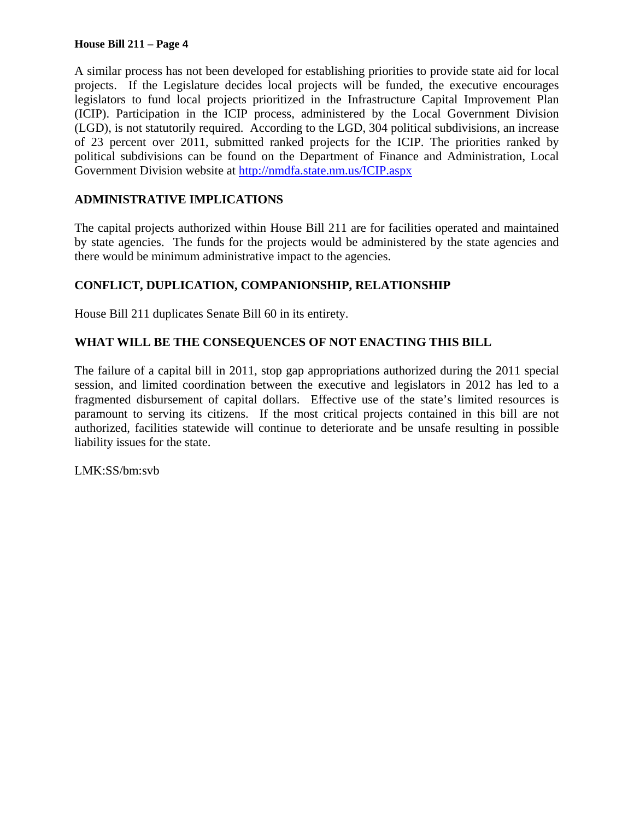### **House Bill 211 – Page 4**

A similar process has not been developed for establishing priorities to provide state aid for local projects. If the Legislature decides local projects will be funded, the executive encourages legislators to fund local projects prioritized in the Infrastructure Capital Improvement Plan (ICIP). Participation in the ICIP process, administered by the Local Government Division (LGD), is not statutorily required. According to the LGD, 304 political subdivisions, an increase of 23 percent over 2011, submitted ranked projects for the ICIP. The priorities ranked by political subdivisions can be found on the Department of Finance and Administration, Local Government Division website at http://nmdfa.state.nm.us/ICIP.aspx

# **ADMINISTRATIVE IMPLICATIONS**

The capital projects authorized within House Bill 211 are for facilities operated and maintained by state agencies. The funds for the projects would be administered by the state agencies and there would be minimum administrative impact to the agencies.

## **CONFLICT, DUPLICATION, COMPANIONSHIP, RELATIONSHIP**

House Bill 211 duplicates Senate Bill 60 in its entirety.

## **WHAT WILL BE THE CONSEQUENCES OF NOT ENACTING THIS BILL**

The failure of a capital bill in 2011, stop gap appropriations authorized during the 2011 special session, and limited coordination between the executive and legislators in 2012 has led to a fragmented disbursement of capital dollars. Effective use of the state's limited resources is paramount to serving its citizens. If the most critical projects contained in this bill are not authorized, facilities statewide will continue to deteriorate and be unsafe resulting in possible liability issues for the state.

LMK:SS/bm:svb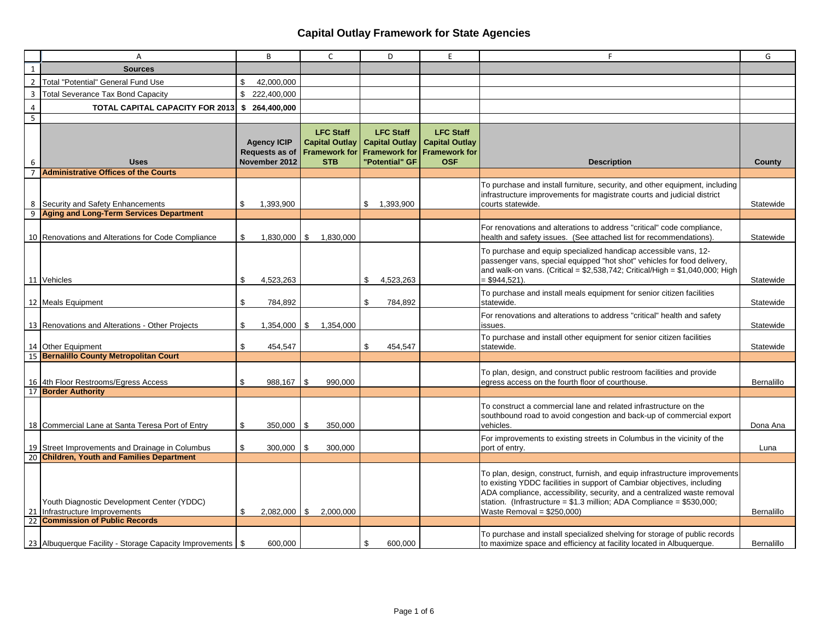|                | А                                                                         | B                                                     | $\mathsf{C}$                                                                    | D                                                                                   | E                                                                               | F                                                                                                                                                                                                                                                                                                                                             | G                 |
|----------------|---------------------------------------------------------------------------|-------------------------------------------------------|---------------------------------------------------------------------------------|-------------------------------------------------------------------------------------|---------------------------------------------------------------------------------|-----------------------------------------------------------------------------------------------------------------------------------------------------------------------------------------------------------------------------------------------------------------------------------------------------------------------------------------------|-------------------|
| $\mathbf{1}$   | <b>Sources</b>                                                            |                                                       |                                                                                 |                                                                                     |                                                                                 |                                                                                                                                                                                                                                                                                                                                               |                   |
| $\overline{2}$ | <b>Total "Potential" General Fund Use</b>                                 | \$<br>42,000,000                                      |                                                                                 |                                                                                     |                                                                                 |                                                                                                                                                                                                                                                                                                                                               |                   |
| 3              | <b>Total Severance Tax Bond Capacity</b>                                  | \$222,400,000                                         |                                                                                 |                                                                                     |                                                                                 |                                                                                                                                                                                                                                                                                                                                               |                   |
| $\overline{4}$ | <b>TOTAL CAPITAL CAPACITY FOR 2013</b>                                    | \$ 264,400,000                                        |                                                                                 |                                                                                     |                                                                                 |                                                                                                                                                                                                                                                                                                                                               |                   |
| 5              |                                                                           |                                                       |                                                                                 |                                                                                     |                                                                                 |                                                                                                                                                                                                                                                                                                                                               |                   |
| 6              | <b>Uses</b>                                                               | <b>Agency ICIP</b><br>Requests as of<br>November 2012 | <b>LFC Staff</b><br><b>Capital Outlay</b><br><b>Framework for</b><br><b>STB</b> | <b>LFC Staff</b><br><b>Capital Outlay</b><br><b>Framework for</b><br>"Potential" GF | <b>LFC Staff</b><br><b>Capital Outlay</b><br><b>Framework for</b><br><b>OSF</b> | <b>Description</b>                                                                                                                                                                                                                                                                                                                            | County            |
|                | <b>Administrative Offices of the Courts</b>                               |                                                       |                                                                                 |                                                                                     |                                                                                 |                                                                                                                                                                                                                                                                                                                                               |                   |
|                | 8 Security and Safety Enhancements                                        | 1,393,900<br>\$                                       |                                                                                 | \$1,393,900                                                                         |                                                                                 | To purchase and install furniture, security, and other equipment, including<br>infrastructure improvements for magistrate courts and judicial district<br>courts statewide.                                                                                                                                                                   | Statewide         |
|                | 9 Aging and Long-Term Services Department                                 |                                                       |                                                                                 |                                                                                     |                                                                                 |                                                                                                                                                                                                                                                                                                                                               |                   |
|                | 10 Renovations and Alterations for Code Compliance                        | \$<br>$1,830,000$ \ \$                                | 1,830,000                                                                       |                                                                                     |                                                                                 | For renovations and alterations to address "critical" code compliance,<br>health and safety issues. (See attached list for recommendations).                                                                                                                                                                                                  | Statewide         |
|                | 11 Vehicles                                                               | \$<br>4,523,263                                       |                                                                                 | \$<br>4,523,263                                                                     |                                                                                 | To purchase and equip specialized handicap accessible vans, 12-<br>passenger vans, special equipped "hot shot" vehicles for food delivery,<br>and walk-on vans. (Critical = $$2,538,742$ ; Critical/High = $$1,040,000$ ; High<br>$= $944,521$ ).                                                                                             | Statewide         |
|                | 12 Meals Equipment                                                        | \$<br>784,892                                         |                                                                                 | \$<br>784,892                                                                       |                                                                                 | To purchase and install meals equipment for senior citizen facilities<br>statewide.                                                                                                                                                                                                                                                           | Statewide         |
|                | 13 Renovations and Alterations - Other Projects                           | \$<br>$1,354,000$   \$                                | 1,354,000                                                                       |                                                                                     |                                                                                 | For renovations and alterations to address "critical" health and safety<br>issues.                                                                                                                                                                                                                                                            | Statewide         |
|                | 14 Other Equipment                                                        | \$<br>454,547                                         |                                                                                 | \$<br>454,547                                                                       |                                                                                 | To purchase and install other equipment for senior citizen facilities<br>statewide.                                                                                                                                                                                                                                                           | Statewide         |
|                | 15 Bernalillo County Metropolitan Court                                   |                                                       |                                                                                 |                                                                                     |                                                                                 |                                                                                                                                                                                                                                                                                                                                               |                   |
|                | 16 4th Floor Restrooms/Egress Access                                      | \$<br>988,167                                         | 990,000<br>l \$                                                                 |                                                                                     |                                                                                 | To plan, design, and construct public restroom facilities and provide<br>egress access on the fourth floor of courthouse.                                                                                                                                                                                                                     | Bernalillo        |
|                | 17 Border Authority                                                       |                                                       |                                                                                 |                                                                                     |                                                                                 |                                                                                                                                                                                                                                                                                                                                               |                   |
|                | 18 Commercial Lane at Santa Teresa Port of Entry                          | \$<br>350,000                                         | 350,000<br><b>S</b>                                                             |                                                                                     |                                                                                 | To construct a commercial lane and related infrastructure on the<br>southbound road to avoid congestion and back-up of commercial export<br>vehicles.                                                                                                                                                                                         | Dona Ana          |
|                | 19 Street Improvements and Drainage in Columbus                           | \$<br>300,000                                         | 300,000<br>l \$                                                                 |                                                                                     |                                                                                 | For improvements to existing streets in Columbus in the vicinity of the<br>port of entry.                                                                                                                                                                                                                                                     | Luna              |
|                | 20 Children, Youth and Families Department                                |                                                       |                                                                                 |                                                                                     |                                                                                 |                                                                                                                                                                                                                                                                                                                                               |                   |
| 21             | Youth Diagnostic Development Center (YDDC)<br>Infrastructure Improvements | \$                                                    | $2,082,000$ \$ 2,000,000                                                        |                                                                                     |                                                                                 | To plan, design, construct, furnish, and equip infrastructure improvements<br>to existing YDDC facilities in support of Cambiar objectives, including<br>ADA compliance, accessibility, security, and a centralized waste removal<br>station. (Infrastructure = $$1.3$ million; ADA Compliance = $$530,000$ ;<br>Waste Removal = $$250,000$ ) | Bernalillo        |
| 22             | <b>Commission of Public Records</b>                                       |                                                       |                                                                                 |                                                                                     |                                                                                 |                                                                                                                                                                                                                                                                                                                                               |                   |
|                | 23 Albuquerque Facility - Storage Capacity Improvements                   | \$<br>600.000                                         |                                                                                 | \$<br>600.000                                                                       |                                                                                 | To purchase and install specialized shelving for storage of public records<br>to maximize space and efficiency at facility located in Albuquerque.                                                                                                                                                                                            | <b>Bernalillo</b> |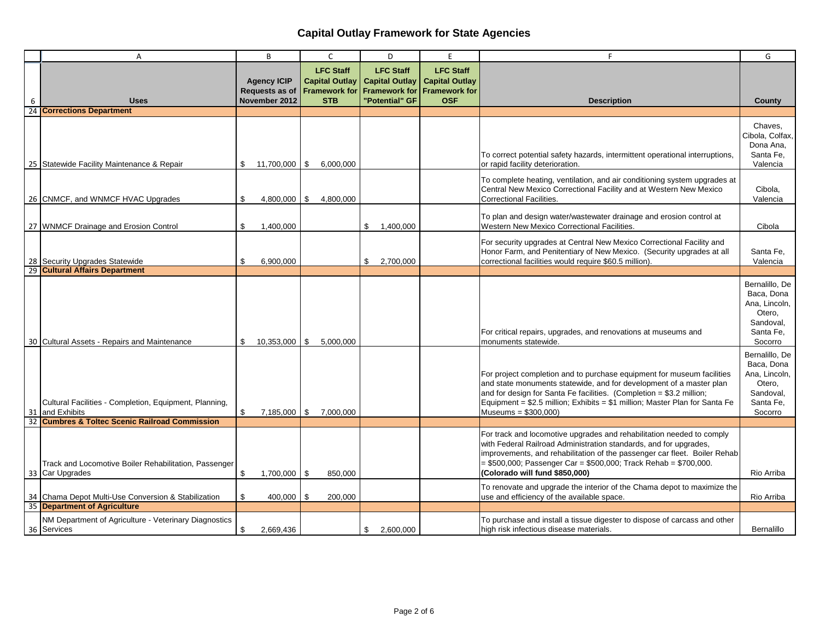|    | A                                                                                   | B                                                            | $\mathsf{C}$                                                                    | D                                                                                   | E                                                                               | F                                                                                                                                                                                                                                                                                                                               | G                                                                                            |
|----|-------------------------------------------------------------------------------------|--------------------------------------------------------------|---------------------------------------------------------------------------------|-------------------------------------------------------------------------------------|---------------------------------------------------------------------------------|---------------------------------------------------------------------------------------------------------------------------------------------------------------------------------------------------------------------------------------------------------------------------------------------------------------------------------|----------------------------------------------------------------------------------------------|
| 6  | <b>Uses</b>                                                                         | <b>Agency ICIP</b><br><b>Requests as of</b><br>November 2012 | <b>LFC Staff</b><br><b>Capital Outlay</b><br><b>Framework for</b><br><b>STB</b> | <b>LFC Staff</b><br><b>Capital Outlay</b><br><b>Framework for</b><br>"Potential" GF | <b>LFC Staff</b><br><b>Capital Outlay</b><br><b>Framework for</b><br><b>OSF</b> | <b>Description</b>                                                                                                                                                                                                                                                                                                              | County                                                                                       |
|    | 24 Corrections Department                                                           |                                                              |                                                                                 |                                                                                     |                                                                                 |                                                                                                                                                                                                                                                                                                                                 |                                                                                              |
|    | 25 Statewide Facility Maintenance & Repair                                          | 11,700,000 \$<br>S.                                          | 6,000,000                                                                       |                                                                                     |                                                                                 | To correct potential safety hazards, intermittent operational interruptions,<br>or rapid facility deterioration.                                                                                                                                                                                                                | Chaves.<br>Cibola, Colfax,<br>Dona Ana,<br>Santa Fe.<br>Valencia                             |
|    | 26 CNMCF, and WNMCF HVAC Upgrades                                                   | \$<br>$4,800,000$ \ \$                                       | 4,800,000                                                                       |                                                                                     |                                                                                 | To complete heating, ventilation, and air conditioning system upgrades at<br>Central New Mexico Correctional Facility and at Western New Mexico<br>Correctional Facilities.                                                                                                                                                     | Cibola,<br>Valencia                                                                          |
|    | 27 WNMCF Drainage and Erosion Control                                               | \$<br>1,400,000                                              |                                                                                 | \$<br>1,400,000                                                                     |                                                                                 | To plan and design water/wastewater drainage and erosion control at<br><b>Western New Mexico Correctional Facilities.</b>                                                                                                                                                                                                       | Cibola                                                                                       |
|    | 28 Security Upgrades Statewide                                                      | 6,900,000<br>\$                                              |                                                                                 | 2,700,000<br>\$                                                                     |                                                                                 | For security upgrades at Central New Mexico Correctional Facility and<br>Honor Farm, and Penitentiary of New Mexico. (Security upgrades at all<br>correctional facilities would require \$60.5 million).                                                                                                                        | Santa Fe,<br>Valencia                                                                        |
|    | 29 Cultural Affairs Department                                                      |                                                              |                                                                                 |                                                                                     |                                                                                 |                                                                                                                                                                                                                                                                                                                                 |                                                                                              |
|    | 30 Cultural Assets - Repairs and Maintenance                                        | \$                                                           | $10,353,000$   \$ 5,000,000                                                     |                                                                                     |                                                                                 | For critical repairs, upgrades, and renovations at museums and<br>monuments statewide.                                                                                                                                                                                                                                          | Bernalillo, De<br>Baca, Dona<br>Ana, Lincoln,<br>Otero,<br>Sandoval,<br>Santa Fe,<br>Socorro |
|    | Cultural Facilities - Completion, Equipment, Planning,<br>31 and Exhibits           | $\mathfrak{L}$<br>7,185,000 \$                               | 7.000.000                                                                       |                                                                                     |                                                                                 | For project completion and to purchase equipment for museum facilities<br>and state monuments statewide, and for development of a master plan<br>and for design for Santa Fe facilities. (Completion = \$3.2 million;<br>Equipment = \$2.5 million; Exhibits = \$1 million; Master Plan for Santa Fe<br>Museums = \$300,000)    | Bernalillo, De<br>Baca, Dona<br>Ana, Lincoln,<br>Otero.<br>Sandoval,<br>Santa Fe,<br>Socorro |
| 32 | <b>Cumbres &amp; Toltec Scenic Railroad Commission</b>                              |                                                              |                                                                                 |                                                                                     |                                                                                 |                                                                                                                                                                                                                                                                                                                                 |                                                                                              |
|    | Track and Locomotive Boiler Rehabilitation, Passenger<br>33 Car Upgrades            | \$<br>$1,700,000$ \$                                         | 850,000                                                                         |                                                                                     |                                                                                 | For track and locomotive upgrades and rehabilitation needed to comply<br>with Federal Railroad Administration standards, and for upgrades,<br>improvements, and rehabilitation of the passenger car fleet. Boiler Rehab<br>$= $500,000$ ; Passenger Car = \$500,000; Track Rehab = \$700,000.<br>(Colorado will fund \$850.000) | Rio Arriba                                                                                   |
|    | 34 Chama Depot Multi-Use Conversion & Stabilization<br>35 Department of Agriculture | \$<br>400,000 \$                                             | 200,000                                                                         |                                                                                     |                                                                                 | To renovate and upgrade the interior of the Chama depot to maximize the<br>use and efficiency of the available space.                                                                                                                                                                                                           | Rio Arriba                                                                                   |
|    | NM Department of Agriculture - Veterinary Diagnostics                               |                                                              |                                                                                 |                                                                                     |                                                                                 | To purchase and install a tissue digester to dispose of carcass and other                                                                                                                                                                                                                                                       |                                                                                              |
|    | 36 Services                                                                         | 2,669,436<br>\$                                              |                                                                                 | 2.600.000<br>\$                                                                     |                                                                                 | high risk infectious disease materials.                                                                                                                                                                                                                                                                                         | <b>Bernalillo</b>                                                                            |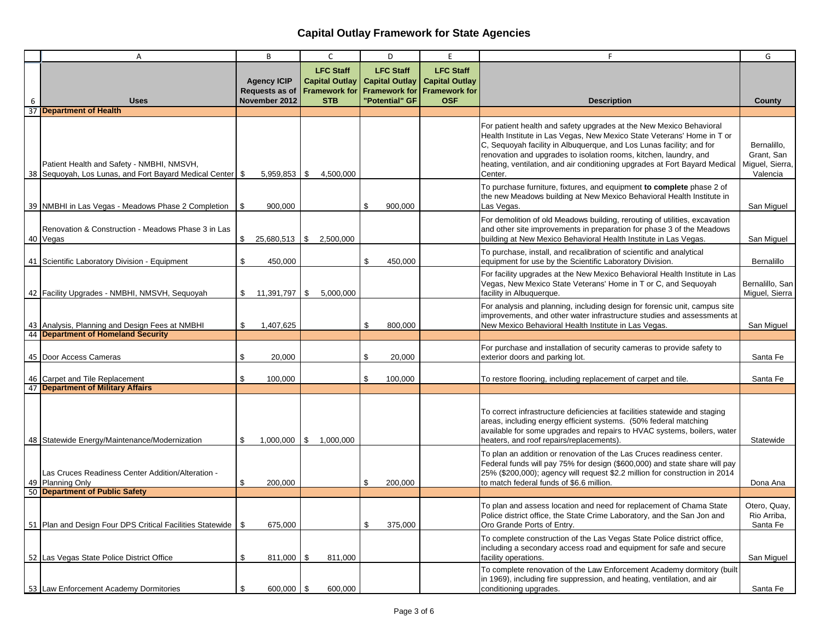|    | Α                                                                                                       | B                                                     | $\mathsf{C}$                                                                    | D                                                                                   | E                                                                               | F                                                                                                                                                                                                                                                                                                                                                                                   | G                                                        |
|----|---------------------------------------------------------------------------------------------------------|-------------------------------------------------------|---------------------------------------------------------------------------------|-------------------------------------------------------------------------------------|---------------------------------------------------------------------------------|-------------------------------------------------------------------------------------------------------------------------------------------------------------------------------------------------------------------------------------------------------------------------------------------------------------------------------------------------------------------------------------|----------------------------------------------------------|
| 6  | <b>Uses</b>                                                                                             | <b>Agency ICIP</b><br>Requests as of<br>November 2012 | <b>LFC Staff</b><br><b>Capital Outlay</b><br><b>Framework for</b><br><b>STB</b> | <b>LFC Staff</b><br><b>Capital Outlay</b><br><b>Framework for</b><br>"Potential" GF | <b>LFC Staff</b><br><b>Capital Outlay</b><br><b>Framework for</b><br><b>OSF</b> | <b>Description</b>                                                                                                                                                                                                                                                                                                                                                                  | County                                                   |
|    | 37 Department of Health                                                                                 |                                                       |                                                                                 |                                                                                     |                                                                                 |                                                                                                                                                                                                                                                                                                                                                                                     |                                                          |
|    | Patient Health and Safety - NMBHI, NMSVH,<br>38 Sequoyah, Los Lunas, and Fort Bayard Medical Center \$  | $5,959,853$ \$                                        | 4,500,000                                                                       |                                                                                     |                                                                                 | For patient health and safety upgrades at the New Mexico Behavioral<br>Health Institute in Las Vegas, New Mexico State Veterans' Home in T or<br>C, Sequoyah facility in Albuquerque, and Los Lunas facility; and for<br>renovation and upgrades to isolation rooms, kitchen, laundry, and<br>heating, ventilation, and air conditioning upgrades at Fort Bayard Medical<br>Center. | Bernalillo,<br>Grant, San<br>Miguel, Sierra,<br>Valencia |
|    | 39 NMBHI in Las Vegas - Meadows Phase 2 Completion \ \ \$                                               | 900,000                                               |                                                                                 | \$<br>900,000                                                                       |                                                                                 | To purchase furniture, fixtures, and equipment to complete phase 2 of<br>the new Meadows building at New Mexico Behavioral Health Institute in<br>Las Vegas.                                                                                                                                                                                                                        | San Miguel                                               |
|    | Renovation & Construction - Meadows Phase 3 in Las<br>40 Vegas                                          | 25,680,513 \$<br>\$                                   | 2,500,000                                                                       |                                                                                     |                                                                                 | For demolition of old Meadows building, rerouting of utilities, excavation<br>and other site improvements in preparation for phase 3 of the Meadows<br>building at New Mexico Behavioral Health Institute in Las Vegas.                                                                                                                                                             | San Miguel                                               |
|    | 41 Scientific Laboratory Division - Equipment                                                           | \$<br>450,000                                         |                                                                                 | \$<br>450,000                                                                       |                                                                                 | To purchase, install, and recalibration of scientific and analytical<br>equipment for use by the Scientific Laboratory Division.                                                                                                                                                                                                                                                    | Bernalillo                                               |
|    | 42 Facility Upgrades - NMBHI, NMSVH, Sequoyah                                                           | 11,391,797   \$<br>S.                                 | 5.000.000                                                                       |                                                                                     |                                                                                 | For facility upgrades at the New Mexico Behavioral Health Institute in Las<br>Vegas, New Mexico State Veterans' Home in T or C, and Sequoyah<br>facility in Albuquerque.                                                                                                                                                                                                            | Bernalillo, San<br>Miguel, Sierra                        |
|    | 43 Analysis, Planning and Design Fees at NMBHI                                                          | \$<br>1,407,625                                       |                                                                                 | \$<br>800,000                                                                       |                                                                                 | For analysis and planning, including design for forensic unit, campus site<br>improvements, and other water infrastructure studies and assessments at<br>New Mexico Behavioral Health Institute in Las Vegas.                                                                                                                                                                       | San Miguel                                               |
| 44 | <b>Department of Homeland Security</b>                                                                  |                                                       |                                                                                 |                                                                                     |                                                                                 |                                                                                                                                                                                                                                                                                                                                                                                     |                                                          |
|    | 45 Door Access Cameras                                                                                  | \$<br>20,000                                          |                                                                                 | \$<br>20,000                                                                        |                                                                                 | For purchase and installation of security cameras to provide safety to<br>exterior doors and parking lot.                                                                                                                                                                                                                                                                           | Santa Fe                                                 |
|    | 46 Carpet and Tile Replacement<br>47 Department of Military Affairs                                     | 100,000<br>\$.                                        |                                                                                 | \$<br>100,000                                                                       |                                                                                 | To restore flooring, including replacement of carpet and tile.                                                                                                                                                                                                                                                                                                                      | Santa Fe                                                 |
|    | 48 Statewide Energy/Maintenance/Modernization                                                           | \$<br>1,000,000                                       | $\$\,$ 1,000,000                                                                |                                                                                     |                                                                                 | To correct infrastructure deficiencies at facilities statewide and staging<br>areas, including energy efficient systems. (50% federal matching<br>available for some upgrades and repairs to HVAC systems, boilers, water<br>heaters, and roof repairs/replacements).                                                                                                               | Statewide                                                |
|    | Las Cruces Readiness Center Addition/Alteration -<br>49 Planning Only<br>50 Department of Public Safety | \$<br>200,000                                         |                                                                                 | \$<br>200,000                                                                       |                                                                                 | To plan an addition or renovation of the Las Cruces readiness center.<br>Federal funds will pay 75% for design (\$600,000) and state share will pay<br>25% (\$200,000); agency will request \$2.2 million for construction in 2014<br>to match federal funds of \$6.6 million.                                                                                                      | Dona Ana                                                 |
|    |                                                                                                         |                                                       |                                                                                 |                                                                                     |                                                                                 |                                                                                                                                                                                                                                                                                                                                                                                     |                                                          |
|    | 51 Plan and Design Four DPS Critical Facilities Statewide   \$                                          | 675,000                                               |                                                                                 | \$<br>375,000                                                                       |                                                                                 | To plan and assess location and need for replacement of Chama State<br>Police district office, the State Crime Laboratory, and the San Jon and<br>Oro Grande Ports of Entry.                                                                                                                                                                                                        | Otero, Quay,<br>Rio Arriba,<br>Santa Fe                  |
|    | 52 Las Vegas State Police District Office                                                               | \$<br>811,000 \$                                      | 811,000                                                                         |                                                                                     |                                                                                 | To complete construction of the Las Vegas State Police district office,<br>including a secondary access road and equipment for safe and secure<br>facility operations.                                                                                                                                                                                                              | San Miguel                                               |
|    | 53 Law Enforcement Academy Dormitories                                                                  | \$<br>600,000 \$                                      | 600,000                                                                         |                                                                                     |                                                                                 | To complete renovation of the Law Enforcement Academy dormitory (built<br>in 1969), including fire suppression, and heating, ventilation, and air<br>conditioning upgrades.                                                                                                                                                                                                         | Santa Fe                                                 |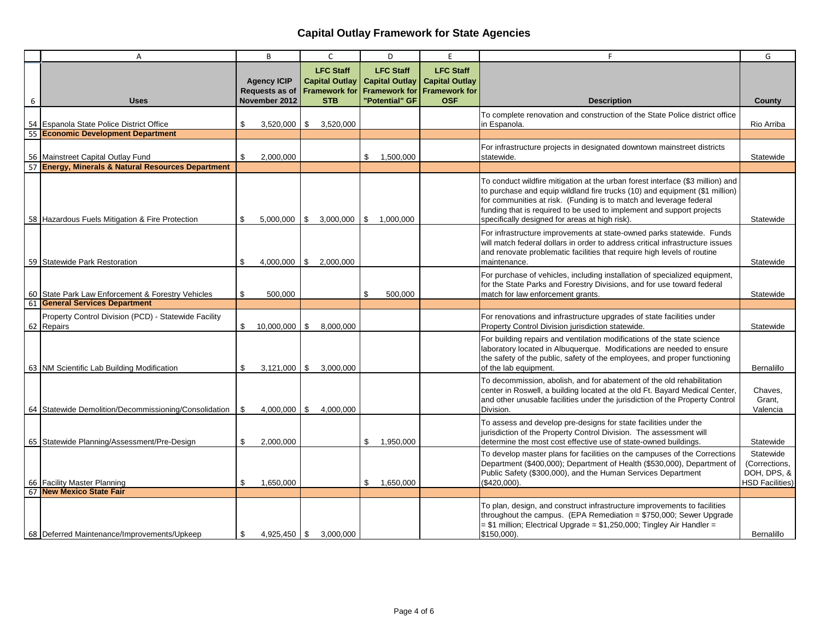|    | Α                                                                                       |                | B                                                            | $\mathsf{C}$<br>D                                                               |                                                                                     | E                                                                               | F                                                                                                                                                                                                                                                                                                                                                              | G                                                                   |
|----|-----------------------------------------------------------------------------------------|----------------|--------------------------------------------------------------|---------------------------------------------------------------------------------|-------------------------------------------------------------------------------------|---------------------------------------------------------------------------------|----------------------------------------------------------------------------------------------------------------------------------------------------------------------------------------------------------------------------------------------------------------------------------------------------------------------------------------------------------------|---------------------------------------------------------------------|
| 6  | <b>Uses</b>                                                                             |                | <b>Agency ICIP</b><br><b>Requests as of</b><br>November 2012 | <b>LFC Staff</b><br><b>Capital Outlay</b><br><b>Framework for</b><br><b>STB</b> | <b>LFC Staff</b><br><b>Capital Outlay</b><br><b>Framework for</b><br>"Potential" GF | <b>LFC Staff</b><br><b>Capital Outlay</b><br><b>Framework for</b><br><b>OSF</b> | <b>Description</b>                                                                                                                                                                                                                                                                                                                                             | County                                                              |
|    | 54 Espanola State Police District Office                                                | \$             | $3,520,000$   \$                                             | 3,520,000                                                                       |                                                                                     |                                                                                 | To complete renovation and construction of the State Police district office<br>in Espanola.                                                                                                                                                                                                                                                                    | Rio Arriba                                                          |
|    | 55 Economic Development Department                                                      |                |                                                              |                                                                                 |                                                                                     |                                                                                 |                                                                                                                                                                                                                                                                                                                                                                |                                                                     |
|    | 56 Mainstreet Capital Outlay Fund                                                       | \$             | 2,000,000                                                    |                                                                                 | \$1,500,000                                                                         |                                                                                 | For infrastructure projects in designated downtown mainstreet districts<br>statewide.                                                                                                                                                                                                                                                                          | Statewide                                                           |
|    | 57 Energy, Minerals & Natural Resources Department                                      |                |                                                              |                                                                                 |                                                                                     |                                                                                 |                                                                                                                                                                                                                                                                                                                                                                |                                                                     |
|    | 58 Hazardous Fuels Mitigation & Fire Protection                                         | \$             |                                                              |                                                                                 | $5,000,000$   \$ 3,000,000   \$ 1,000,000                                           |                                                                                 | To conduct wildfire mitigation at the urban forest interface (\$3 million) and<br>to purchase and equip wildland fire trucks (10) and equipment (\$1 million)<br>for communities at risk. (Funding is to match and leverage federal<br>funding that is required to be used to implement and support projects<br>specifically designed for areas at high risk). | Statewide                                                           |
|    | 59 Statewide Park Restoration                                                           | \$             | 4,000,000                                                    | \$ 2,000,000                                                                    |                                                                                     |                                                                                 | For infrastructure improvements at state-owned parks statewide. Funds<br>will match federal dollars in order to address critical infrastructure issues<br>and renovate problematic facilities that require high levels of routine<br>maintenance.                                                                                                              | Statewide                                                           |
|    | 60 State Park Law Enforcement & Forestry Vehicles<br><b>General Services Department</b> | \$             | 500,000                                                      |                                                                                 | 500,000<br>\$                                                                       |                                                                                 | For purchase of vehicles, including installation of specialized equipment,<br>for the State Parks and Forestry Divisions, and for use toward federal<br>match for law enforcement grants.                                                                                                                                                                      | Statewide                                                           |
| 61 |                                                                                         |                |                                                              |                                                                                 |                                                                                     |                                                                                 |                                                                                                                                                                                                                                                                                                                                                                |                                                                     |
| 62 | Property Control Division (PCD) - Statewide Facility<br>Repairs                         | \$             | $10,000,000$ \$                                              | 8,000,000                                                                       |                                                                                     |                                                                                 | For renovations and infrastructure upgrades of state facilities under<br>Property Control Division jurisdiction statewide.                                                                                                                                                                                                                                     | Statewide                                                           |
|    | 63 NM Scientific Lab Building Modification                                              | \$             |                                                              | $3,121,000$ \$ 3,000,000                                                        |                                                                                     |                                                                                 | For building repairs and ventilation modifications of the state science<br>laboratory located in Albuquerque. Modifications are needed to ensure<br>the safety of the public, safety of the employees, and proper functioning<br>of the lab equipment.                                                                                                         | Bernalillo                                                          |
|    | 64 Statewide Demolition/Decommissioning/Consolidation                                   | \$             | $4,000,000$ \$                                               | 4.000.000                                                                       |                                                                                     |                                                                                 | To decommission, abolish, and for abatement of the old rehabilitation<br>center in Roswell, a building located at the old Ft. Bayard Medical Center,<br>and other unusable facilities under the jurisdiction of the Property Control<br>Division.                                                                                                              | Chaves,<br>Grant,<br>Valencia                                       |
|    | 65 Statewide Planning/Assessment/Pre-Design                                             | $\mathfrak{L}$ | 2.000.000                                                    |                                                                                 | 1,950,000<br>\$                                                                     |                                                                                 | To assess and develop pre-designs for state facilities under the<br>jurisdiction of the Property Control Division. The assessment will<br>determine the most cost effective use of state-owned buildings.                                                                                                                                                      | Statewide                                                           |
|    | 66 Facility Master Planning<br>67 New Mexico State Fair                                 | \$             | 1,650,000                                                    |                                                                                 | 1,650,000<br>\$                                                                     |                                                                                 | To develop master plans for facilities on the campuses of the Corrections<br>Department (\$400,000); Department of Health (\$530,000), Department of<br>Public Safety (\$300,000), and the Human Services Department<br>(\$420,000).                                                                                                                           | Statewide<br>(Corrections,<br>DOH, DPS, &<br><b>HSD Facilities)</b> |
|    | 68 Deferred Maintenance/Improvements/Upkeep                                             | \$             | $4.925.450$ \$                                               | 3.000.000                                                                       |                                                                                     |                                                                                 | To plan, design, and construct infrastructure improvements to facilities<br>throughout the campus. (EPA Remediation = $$750,000$ ; Sewer Upgrade<br>$= $1$ million; Electrical Upgrade $= $1,250,000$ ; Tingley Air Handler $=$<br>\$150,000).                                                                                                                 | Bernalillo                                                          |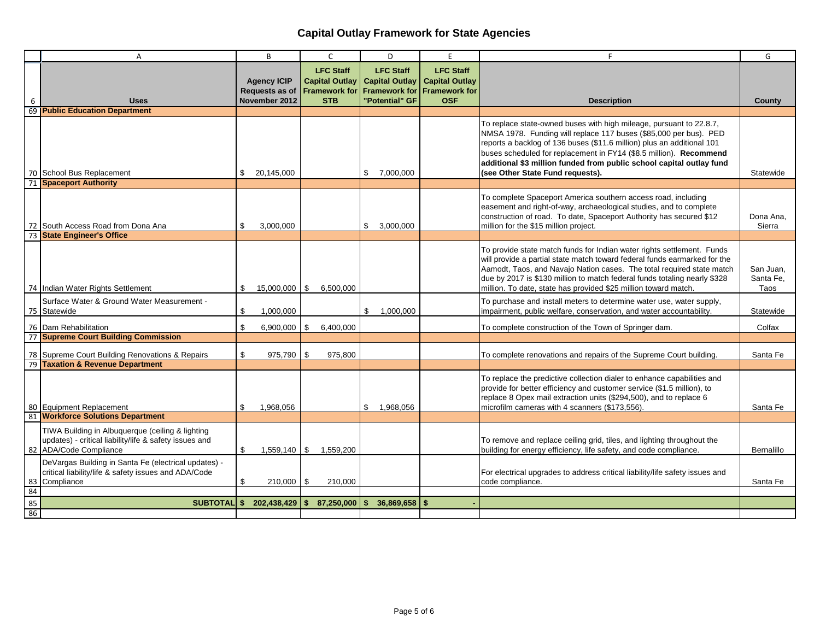|          | A                                                                                                                                    |     | B                                                            | C                                                                                         |              | D                                                          | E                                                                               | F                                                                                                                                                                                                                                                                                                                                                                                                    | G                              |
|----------|--------------------------------------------------------------------------------------------------------------------------------------|-----|--------------------------------------------------------------|-------------------------------------------------------------------------------------------|--------------|------------------------------------------------------------|---------------------------------------------------------------------------------|------------------------------------------------------------------------------------------------------------------------------------------------------------------------------------------------------------------------------------------------------------------------------------------------------------------------------------------------------------------------------------------------------|--------------------------------|
| 6        | <b>Uses</b>                                                                                                                          |     | <b>Agency ICIP</b><br><b>Requests as of</b><br>November 2012 | <b>LFC Staff</b><br>Capital Outlay   Capital Outlay<br><b>Framework for</b><br><b>STB</b> |              | <b>LFC Staff</b><br><b>Framework for</b><br>"Potential" GF | <b>LFC Staff</b><br><b>Capital Outlay</b><br><b>Framework for</b><br><b>OSF</b> | <b>Description</b>                                                                                                                                                                                                                                                                                                                                                                                   | County                         |
|          | 69 Public Education Department                                                                                                       |     |                                                              |                                                                                           |              |                                                            |                                                                                 |                                                                                                                                                                                                                                                                                                                                                                                                      |                                |
|          | 70 School Bus Replacement                                                                                                            | \$  | 20,145,000                                                   |                                                                                           |              | \$7,000,000                                                |                                                                                 | To replace state-owned buses with high mileage, pursuant to 22.8.7,<br>NMSA 1978. Funding will replace 117 buses (\$85,000 per bus). PED<br>reports a backlog of 136 buses (\$11.6 million) plus an additional 101<br>buses scheduled for replacement in FY14 (\$8.5 million). Recommend<br>additional \$3 million funded from public school capital outlay fund<br>(see Other State Fund requests). | Statewide                      |
| 71       | <b>Spaceport Authority</b>                                                                                                           |     |                                                              |                                                                                           |              |                                                            |                                                                                 |                                                                                                                                                                                                                                                                                                                                                                                                      |                                |
| 72       | South Access Road from Dona Ana                                                                                                      | \$  | 3.000.000                                                    |                                                                                           | \$           | 3.000.000                                                  |                                                                                 | To complete Spaceport America southern access road, including<br>easement and right-of-way, archaeological studies, and to complete<br>construction of road. To date, Spaceport Authority has secured \$12<br>million for the \$15 million project.                                                                                                                                                  | Dona Ana.<br>Sierra            |
|          | 73 State Engineer's Office                                                                                                           |     |                                                              |                                                                                           |              |                                                            |                                                                                 |                                                                                                                                                                                                                                                                                                                                                                                                      |                                |
|          | 74 Indian Water Rights Settlement                                                                                                    | S.  | $15,000,000$   \$                                            | 6,500,000                                                                                 |              |                                                            |                                                                                 | To provide state match funds for Indian water rights settlement. Funds<br>will provide a partial state match toward federal funds earmarked for the<br>Aamodt, Taos, and Navajo Nation cases. The total required state match<br>due by 2017 is \$130 million to match federal funds totaling nearly \$328<br>million. To date, state has provided \$25 million toward match.                         | San Juan,<br>Santa Fe.<br>Taos |
|          | Surface Water & Ground Water Measurement -<br>75 Statewide                                                                           | \$  | 1,000,000                                                    |                                                                                           | \$           | 1.000.000                                                  |                                                                                 | To purchase and install meters to determine water use, water supply,<br>impairment, public welfare, conservation, and water accountability.                                                                                                                                                                                                                                                          | Statewide                      |
|          | 76 Dam Rehabilitation                                                                                                                | \$  | 6,900,000                                                    | \$<br>6,400,000                                                                           |              |                                                            |                                                                                 | To complete construction of the Town of Springer dam.                                                                                                                                                                                                                                                                                                                                                | Colfax                         |
|          | 77 Supreme Court Building Commission                                                                                                 |     |                                                              |                                                                                           |              |                                                            |                                                                                 |                                                                                                                                                                                                                                                                                                                                                                                                      |                                |
|          | 78 Supreme Court Building Renovations & Repairs<br>79 Taxation & Revenue Department                                                  | \$  | 975,790 \$                                                   | 975,800                                                                                   |              |                                                            |                                                                                 | To complete renovations and repairs of the Supreme Court building.                                                                                                                                                                                                                                                                                                                                   | Santa Fe                       |
|          | 80 Equipment Replacement<br>81 Workforce Solutions Department                                                                        | \$. | 1.968.056                                                    |                                                                                           | \$           | 1.968.056                                                  |                                                                                 | To replace the predictive collection dialer to enhance capabilities and<br>provide for better efficiency and customer service (\$1.5 million), to<br>replace 8 Opex mail extraction units (\$294,500), and to replace 6<br>microfilm cameras with 4 scanners (\$173,556).                                                                                                                            | Santa Fe                       |
|          | TIWA Building in Albuquerque (ceiling & lighting<br>updates) - critical liability/life & safety issues and<br>82 ADA/Code Compliance | \$  | $1,559,140$ \ \$                                             | 1,559,200                                                                                 |              |                                                            |                                                                                 | To remove and replace ceiling grid, tiles, and lighting throughout the<br>building for energy efficiency, life safety, and code compliance.                                                                                                                                                                                                                                                          | Bernalillo                     |
| 83       | DeVargas Building in Santa Fe (electrical updates) -<br>critical liability/life & safety issues and ADA/Code<br>Compliance           | S.  | $210,000$   \$                                               | 210,000                                                                                   |              |                                                            |                                                                                 | For electrical upgrades to address critical liability/life safety issues and<br>code compliance.                                                                                                                                                                                                                                                                                                     | Santa Fe                       |
| 84<br>85 |                                                                                                                                      |     |                                                              |                                                                                           |              |                                                            |                                                                                 |                                                                                                                                                                                                                                                                                                                                                                                                      |                                |
| 86       |                                                                                                                                      |     | SUBTOTAL \$ 202,438,429 \$                                   | 87,250,000                                                                                | $\mathbf{s}$ | $36,869,658$ \$                                            |                                                                                 |                                                                                                                                                                                                                                                                                                                                                                                                      |                                |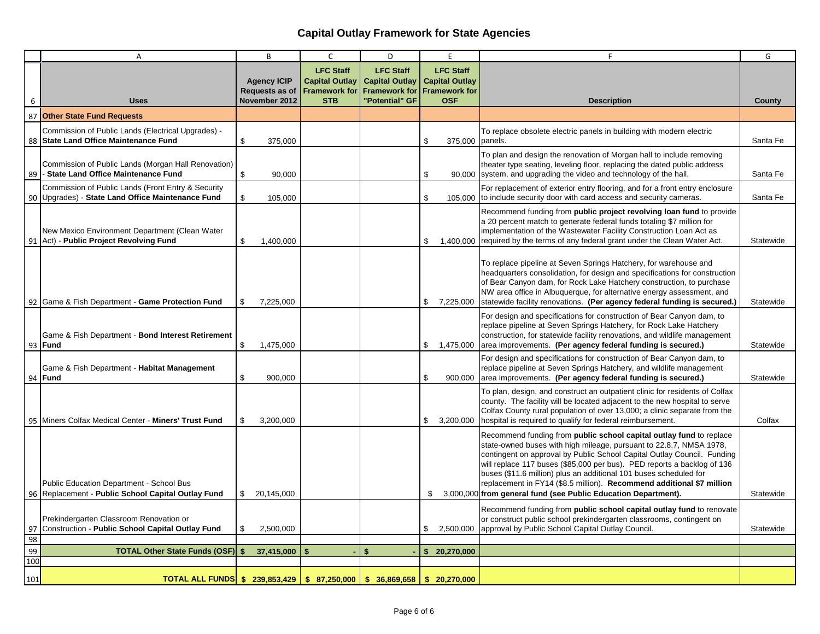|          | A                                                                                                     |               | B                                                     | C                                                                               | D                                                                                   | E                                                                               | F                                                                                                                                                                                                                                                                                                                                                                                                                                                                                                                | G         |
|----------|-------------------------------------------------------------------------------------------------------|---------------|-------------------------------------------------------|---------------------------------------------------------------------------------|-------------------------------------------------------------------------------------|---------------------------------------------------------------------------------|------------------------------------------------------------------------------------------------------------------------------------------------------------------------------------------------------------------------------------------------------------------------------------------------------------------------------------------------------------------------------------------------------------------------------------------------------------------------------------------------------------------|-----------|
| 6        | <b>Uses</b>                                                                                           |               | <b>Agency ICIP</b><br>Requests as of<br>November 2012 | <b>LFC Staff</b><br><b>Capital Outlay</b><br><b>Framework for</b><br><b>STB</b> | <b>LFC Staff</b><br><b>Capital Outlay</b><br><b>Framework for</b><br>"Potential" GF | <b>LFC Staff</b><br><b>Capital Outlay</b><br><b>Framework for</b><br><b>OSF</b> | <b>Description</b>                                                                                                                                                                                                                                                                                                                                                                                                                                                                                               | County    |
| 87       | <b>Other State Fund Requests</b>                                                                      |               |                                                       |                                                                                 |                                                                                     |                                                                                 |                                                                                                                                                                                                                                                                                                                                                                                                                                                                                                                  |           |
| 88       | Commission of Public Lands (Electrical Upgrades) -<br><b>State Land Office Maintenance Fund</b>       | \$            | 375,000                                               |                                                                                 |                                                                                     | \$<br>375,000 panels.                                                           | To replace obsolete electric panels in building with modern electric                                                                                                                                                                                                                                                                                                                                                                                                                                             | Santa Fe  |
| 89       | Commission of Public Lands (Morgan Hall Renovation)<br>- State Land Office Maintenance Fund           | \$            | 90,000                                                |                                                                                 |                                                                                     | \$                                                                              | To plan and design the renovation of Morgan hall to include removing<br>theater type seating, leveling floor, replacing the dated public address<br>90,000 system, and upgrading the video and technology of the hall.                                                                                                                                                                                                                                                                                           | Santa Fe  |
| 90       | Commission of Public Lands (Front Entry & Security<br>Upgrades) - State Land Office Maintenance Fund  | \$            | 105,000                                               |                                                                                 |                                                                                     | \$                                                                              | For replacement of exterior entry flooring, and for a front entry enclosure<br>105,000 to include security door with card access and security cameras.                                                                                                                                                                                                                                                                                                                                                           | Santa Fe  |
| 91       | New Mexico Environment Department (Clean Water<br>Act) - Public Project Revolving Fund                | \$            | 1,400,000                                             |                                                                                 |                                                                                     | \$                                                                              | Recommend funding from public project revolving loan fund to provide<br>a 20 percent match to generate federal funds totaling \$7 million for<br>implementation of the Wastewater Facility Construction Loan Act as<br>1,400,000 required by the terms of any federal grant under the Clean Water Act.                                                                                                                                                                                                           | Statewide |
|          | 92 Game & Fish Department - Game Protection Fund                                                      | \$            | 7,225,000                                             |                                                                                 |                                                                                     | \$<br>7,225,000                                                                 | To replace pipeline at Seven Springs Hatchery, for warehouse and<br>headquarters consolidation, for design and specifications for construction<br>of Bear Canyon dam, for Rock Lake Hatchery construction, to purchase<br>NW area office in Albuquerque, for alternative energy assessment, and<br>statewide facility renovations. (Per agency federal funding is secured.)                                                                                                                                      | Statewide |
| 93       | Game & Fish Department - Bond Interest Retirement<br><b>IFund</b>                                     | $\mathfrak s$ | 1,475,000                                             |                                                                                 |                                                                                     | \$<br>1,475,000                                                                 | For design and specifications for construction of Bear Canyon dam, to<br>replace pipeline at Seven Springs Hatchery, for Rock Lake Hatchery<br>construction, for statewide facility renovations, and wildlife management<br>area improvements. (Per agency federal funding is secured.)                                                                                                                                                                                                                          | Statewide |
|          | Game & Fish Department - Habitat Management<br>94 <b>Fund</b>                                         | \$            | 900,000                                               |                                                                                 |                                                                                     | \$<br>900,000                                                                   | For design and specifications for construction of Bear Canyon dam, to<br>replace pipeline at Seven Springs Hatchery, and wildlife management<br>area improvements. (Per agency federal funding is secured.)                                                                                                                                                                                                                                                                                                      | Statewide |
|          | 95   Miners Colfax Medical Center - Miners' Trust Fund                                                | \$            | 3,200,000                                             |                                                                                 |                                                                                     | \$<br>3,200,000                                                                 | To plan, design, and construct an outpatient clinic for residents of Colfax<br>county. The facility will be located adjacent to the new hospital to serve<br>Colfax County rural population of over 13,000; a clinic separate from the<br>hospital is required to qualify for federal reimbursement.                                                                                                                                                                                                             | Colfax    |
|          | <b>Public Education Department - School Bus</b><br>96 Replacement - Public School Capital Outlay Fund | \$            | 20,145,000                                            |                                                                                 |                                                                                     | \$                                                                              | Recommend funding from public school capital outlay fund to replace<br>state-owned buses with high mileage, pursuant to 22.8.7, NMSA 1978,<br>contingent on approval by Public School Capital Outlay Council. Funding<br>will replace 117 buses (\$85,000 per bus). PED reports a backlog of 136<br>buses (\$11.6 million) plus an additional 101 buses scheduled for<br>replacement in FY14 (\$8.5 million). Recommend additional \$7 million<br>3,000,000 from general fund (see Public Education Department). | Statewide |
| 97       | Prekindergarten Classroom Renovation or<br>Construction - Public School Capital Outlay Fund           | \$            | 2,500,000                                             |                                                                                 |                                                                                     | \$<br>2,500,000                                                                 | Recommend funding from public school capital outlay fund to renovate<br>or construct public school prekindergarten classrooms, contingent on<br>approval by Public School Capital Outlay Council.                                                                                                                                                                                                                                                                                                                | Statewide |
| 98<br>99 | <b>TOTAL Other State Funds (OSF) \$</b>                                                               |               | 37,415,000                                            | $\mathbf{s}$                                                                    | $\mathbf{s}$                                                                        | \$20,270,000                                                                    |                                                                                                                                                                                                                                                                                                                                                                                                                                                                                                                  |           |
| 100      |                                                                                                       |               |                                                       |                                                                                 |                                                                                     |                                                                                 |                                                                                                                                                                                                                                                                                                                                                                                                                                                                                                                  |           |
| 101      | TOTAL ALL FUNDS \$ 239,853,429 \$ 87,250,000 \$ 36,869,658 \$ 20,270,000                              |               |                                                       |                                                                                 |                                                                                     |                                                                                 |                                                                                                                                                                                                                                                                                                                                                                                                                                                                                                                  |           |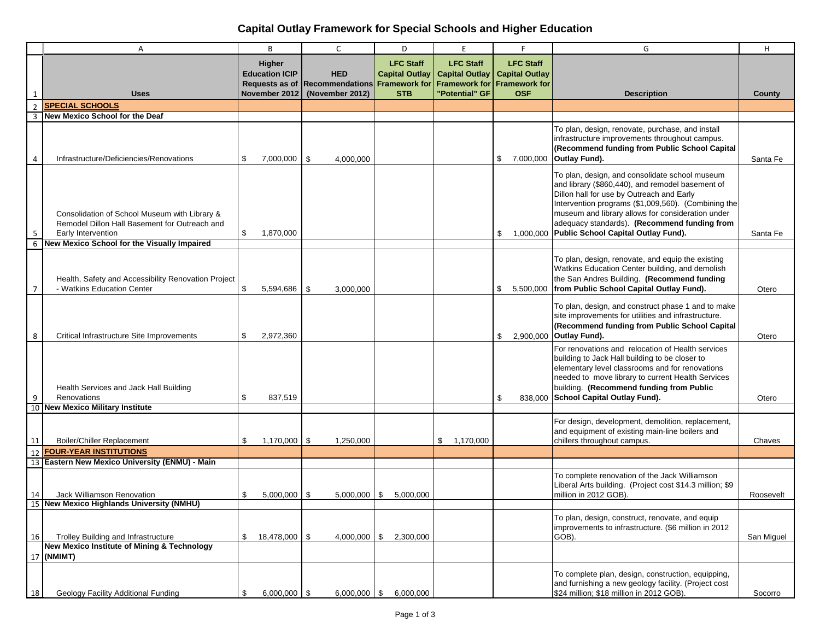# **Capital Outlay Framework for Special Schools and Higher Education**

|                | Α                                                                                                                                                                   |    | B                               | $\mathsf{C}$                                               | D                                         | E                                                                 |    | F                                                                 | G                                                                                                                                                                                                                                                                                                                                                            | H          |
|----------------|---------------------------------------------------------------------------------------------------------------------------------------------------------------------|----|---------------------------------|------------------------------------------------------------|-------------------------------------------|-------------------------------------------------------------------|----|-------------------------------------------------------------------|--------------------------------------------------------------------------------------------------------------------------------------------------------------------------------------------------------------------------------------------------------------------------------------------------------------------------------------------------------------|------------|
|                |                                                                                                                                                                     |    | Higher<br><b>Education ICIP</b> | <b>HED</b><br>Requests as of Recommendations Framework for | <b>LFC Staff</b><br><b>Capital Outlay</b> | <b>LFC Staff</b><br><b>Capital Outlay</b><br><b>Framework for</b> |    | <b>LFC Staff</b><br><b>Capital Outlay</b><br><b>Framework for</b> |                                                                                                                                                                                                                                                                                                                                                              |            |
| 1              | <b>Uses</b>                                                                                                                                                         |    | November 2012                   | (November 2012)                                            | <b>STB</b>                                | "Potential" GF                                                    |    | <b>OSF</b>                                                        | <b>Description</b>                                                                                                                                                                                                                                                                                                                                           | County     |
| $\overline{2}$ | <b>SPECIAL SCHOOLS</b>                                                                                                                                              |    |                                 |                                                            |                                           |                                                                   |    |                                                                   |                                                                                                                                                                                                                                                                                                                                                              |            |
| 3              | New Mexico School for the Deaf                                                                                                                                      |    |                                 |                                                            |                                           |                                                                   |    |                                                                   |                                                                                                                                                                                                                                                                                                                                                              |            |
| 4              | Infrastructure/Deficiencies/Renovations                                                                                                                             | \$ | $7,000,000$ \ \$                | 4,000,000                                                  |                                           |                                                                   | \$ | 7,000,000                                                         | To plan, design, renovate, purchase, and install<br>infrastructure improvements throughout campus.<br>(Recommend funding from Public School Capital<br>Outlay Fund).                                                                                                                                                                                         | Santa Fe   |
| 5<br>6         | Consolidation of School Museum with Library &<br>Remodel Dillon Hall Basement for Outreach and<br>Early Intervention<br>New Mexico School for the Visually Impaired | \$ | 1,870,000                       |                                                            |                                           |                                                                   | \$ |                                                                   | To plan, design, and consolidate school museum<br>and library (\$860,440), and remodel basement of<br>Dillon hall for use by Outreach and Early<br>Intervention programs (\$1,009,560). (Combining the<br>museum and library allows for consideration under<br>adequacy standards). (Recommend funding from<br>1,000,000 Public School Capital Outlay Fund). | Santa Fe   |
| $\overline{7}$ | Health, Safety and Accessibility Renovation Project<br>- Watkins Education Center                                                                                   | \$ | 5,594,686                       | \$<br>3,000,000                                            |                                           |                                                                   | \$ | 5,500,000                                                         | To plan, design, renovate, and equip the existing<br>Watkins Education Center building, and demolish<br>the San Andres Building. (Recommend funding<br>from Public School Capital Outlay Fund).                                                                                                                                                              | Otero      |
| 8              | Critical Infrastructure Site Improvements                                                                                                                           | \$ | 2,972,360                       |                                                            |                                           |                                                                   | \$ |                                                                   | To plan, design, and construct phase 1 and to make<br>site improvements for utilities and infrastructure.<br>(Recommend funding from Public School Capital<br>2,900,000 Outlay Fund).                                                                                                                                                                        | Otero      |
| 9              | Health Services and Jack Hall Building<br>Renovations                                                                                                               |    | 837,519                         |                                                            |                                           |                                                                   | S  |                                                                   | For renovations and relocation of Health services<br>building to Jack Hall building to be closer to<br>elementary level classrooms and for renovations<br>needed to move library to current Health Services<br>building. (Recommend funding from Public<br>838,000 School Capital Outlay Fund).                                                              | Otero      |
|                | 10 New Mexico Military Institute                                                                                                                                    |    |                                 |                                                            |                                           |                                                                   |    |                                                                   |                                                                                                                                                                                                                                                                                                                                                              |            |
| 11             | <b>Boiler/Chiller Replacement</b>                                                                                                                                   | \$ | $1,170,000$ \ \$                | 1,250,000                                                  |                                           | \$1,170,000                                                       |    |                                                                   | For design, development, demolition, replacement,<br>and equipment of existing main-line boilers and<br>chillers throughout campus.                                                                                                                                                                                                                          | Chaves     |
| 12             | <b>FOUR-YEAR INSTITUTIONS</b>                                                                                                                                       |    |                                 |                                                            |                                           |                                                                   |    |                                                                   |                                                                                                                                                                                                                                                                                                                                                              |            |
|                | 13 Eastern New Mexico University (ENMU) - Main                                                                                                                      |    |                                 |                                                            |                                           |                                                                   |    |                                                                   |                                                                                                                                                                                                                                                                                                                                                              |            |
| 14             | Jack Williamson Renovation                                                                                                                                          | S. | $5,000,000$ \$                  |                                                            | $5,000,000$ \$ $5,000,000$                |                                                                   |    |                                                                   | To complete renovation of the Jack Williamson<br>Liberal Arts building. (Project cost \$14.3 million; \$9<br>million in 2012 GOB).                                                                                                                                                                                                                           | Roosevelt  |
|                | 15 New Mexico Highlands University (NMHU)                                                                                                                           |    |                                 |                                                            |                                           |                                                                   |    |                                                                   |                                                                                                                                                                                                                                                                                                                                                              |            |
| 16             | Trolley Building and Infrastructure<br><b>New Mexico Institute of Mining &amp; Technology</b>                                                                       | \$ | 18,478,000 \$                   |                                                            | $4,000,000$ \$ 2,300,000                  |                                                                   |    |                                                                   | To plan, design, construct, renovate, and equip<br>improvements to infrastructure. (\$6 million in 2012<br>GOB).                                                                                                                                                                                                                                             | San Miguel |
|                | 17 (NMIMT)                                                                                                                                                          |    |                                 |                                                            |                                           |                                                                   |    |                                                                   |                                                                                                                                                                                                                                                                                                                                                              |            |
| 18             | Geology Facility Additional Funding                                                                                                                                 | \$ | $6,000,000$ \$                  |                                                            | $6,000,000$ \$ 6,000,000                  |                                                                   |    |                                                                   | To complete plan, design, construction, equipping,<br>and furnishing a new geology facility. (Project cost<br>\$24 million; \$18 million in 2012 GOB).                                                                                                                                                                                                       | Socorro    |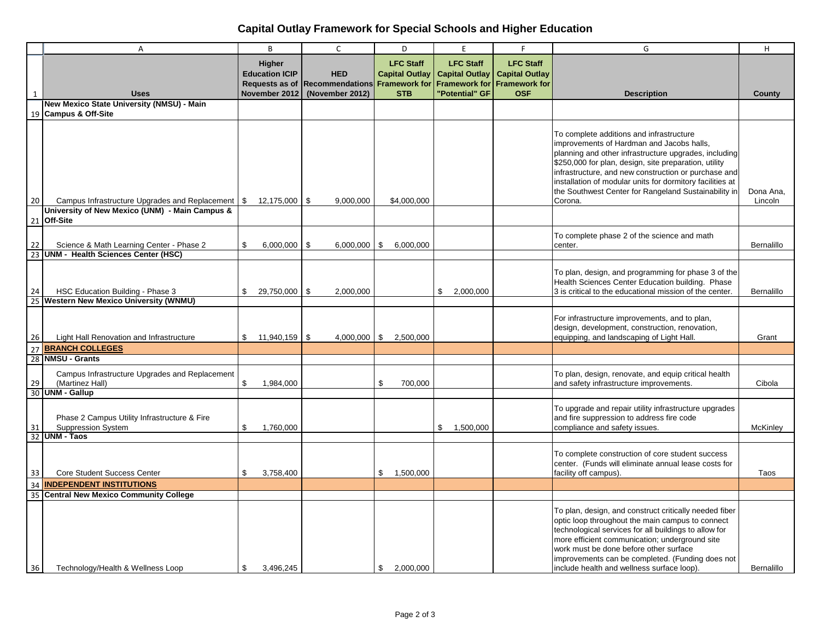# **Capital Outlay Framework for Special Schools and Higher Education**

|                       | A                                                                                    | B                               | $\mathsf{C}$                                               | D                                         | E                                                                 | F.                                                                | G                                                                                                                                                                                                                                                                                                                                                                                               | H                    |
|-----------------------|--------------------------------------------------------------------------------------|---------------------------------|------------------------------------------------------------|-------------------------------------------|-------------------------------------------------------------------|-------------------------------------------------------------------|-------------------------------------------------------------------------------------------------------------------------------------------------------------------------------------------------------------------------------------------------------------------------------------------------------------------------------------------------------------------------------------------------|----------------------|
|                       |                                                                                      | Higher<br><b>Education ICIP</b> | <b>HED</b><br>Requests as of Recommendations Framework for | <b>LFC Staff</b><br><b>Capital Outlay</b> | <b>LFC Staff</b><br><b>Capital Outlay</b><br><b>Framework for</b> | <b>LFC Staff</b><br><b>Capital Outlay</b><br><b>Framework for</b> |                                                                                                                                                                                                                                                                                                                                                                                                 |                      |
| $\mathbf{1}$          | <b>Uses</b>                                                                          | November 2012                   | (November 2012)                                            | <b>STB</b>                                | "Potential" GF                                                    | <b>OSF</b>                                                        | <b>Description</b>                                                                                                                                                                                                                                                                                                                                                                              | County               |
|                       | New Mexico State University (NMSU) - Main                                            |                                 |                                                            |                                           |                                                                   |                                                                   |                                                                                                                                                                                                                                                                                                                                                                                                 |                      |
| 19                    | <b>Campus &amp; Off-Site</b>                                                         |                                 |                                                            |                                           |                                                                   |                                                                   |                                                                                                                                                                                                                                                                                                                                                                                                 |                      |
| 20                    | Campus Infrastructure Upgrades and Replacement                                       | $\mathfrak s$<br>12,175,000     | - \$<br>9,000,000                                          | \$4,000,000                               |                                                                   |                                                                   | To complete additions and infrastructure<br>improvements of Hardman and Jacobs halls,<br>planning and other infrastructure upgrades, including<br>\$250,000 for plan, design, site preparation, utility<br>infrastructure, and new construction or purchase and<br>installation of modular units for dormitory facilities at<br>the Southwest Center for Rangeland Sustainability in<br>Corona. | Dona Ana,<br>Lincoln |
|                       | University of New Mexico (UNM) - Main Campus &<br>21 Off-Site                        |                                 |                                                            |                                           |                                                                   |                                                                   |                                                                                                                                                                                                                                                                                                                                                                                                 |                      |
| 22                    | Science & Math Learning Center - Phase 2<br>23 UNM - Health Sciences Center (HSC)    | \$<br>6,000,000                 | -\$<br>6,000,000                                           | \$<br>6,000,000                           |                                                                   |                                                                   | To complete phase 2 of the science and math<br>center.                                                                                                                                                                                                                                                                                                                                          | Bernalillo           |
|                       |                                                                                      |                                 |                                                            |                                           |                                                                   |                                                                   |                                                                                                                                                                                                                                                                                                                                                                                                 |                      |
| 24<br>$\overline{25}$ | HSC Education Building - Phase 3<br><b>Western New Mexico University (WNMU)</b>      | \$<br>$29,750,000$   \$         | 2,000,000                                                  |                                           | 2,000,000<br>\$.                                                  |                                                                   | To plan, design, and programming for phase 3 of the<br>Health Sciences Center Education building. Phase<br>3 is critical to the educational mission of the center.                                                                                                                                                                                                                              | Bernalillo           |
|                       |                                                                                      |                                 |                                                            |                                           |                                                                   |                                                                   |                                                                                                                                                                                                                                                                                                                                                                                                 |                      |
| 26                    | Light Hall Renovation and Infrastructure                                             | \$<br>$11,940,159$ \$           |                                                            | $4,000,000$   \$ 2,500,000                |                                                                   |                                                                   | For infrastructure improvements, and to plan,<br>design, development, construction, renovation,<br>equipping, and landscaping of Light Hall.                                                                                                                                                                                                                                                    | Grant                |
| 27                    | <b>BRANCH COLLEGES</b>                                                               |                                 |                                                            |                                           |                                                                   |                                                                   |                                                                                                                                                                                                                                                                                                                                                                                                 |                      |
| 28                    | <b>NMSU - Grants</b>                                                                 |                                 |                                                            |                                           |                                                                   |                                                                   |                                                                                                                                                                                                                                                                                                                                                                                                 |                      |
| 29                    | Campus Infrastructure Upgrades and Replacement<br>(Martinez Hall)<br>30 UNM - Gallup | \$<br>1,984,000                 |                                                            | \$<br>700,000                             |                                                                   |                                                                   | To plan, design, renovate, and equip critical health<br>and safety infrastructure improvements.                                                                                                                                                                                                                                                                                                 | Cibola               |
|                       |                                                                                      |                                 |                                                            |                                           |                                                                   |                                                                   |                                                                                                                                                                                                                                                                                                                                                                                                 |                      |
| 31                    | Phase 2 Campus Utility Infrastructure & Fire<br><b>Suppression System</b>            | \$<br>1,760,000                 |                                                            |                                           | \$<br>1,500,000                                                   |                                                                   | To upgrade and repair utility infrastructure upgrades<br>and fire suppression to address fire code<br>compliance and safety issues.                                                                                                                                                                                                                                                             | McKinley             |
|                       | $32$ UNM - Taos                                                                      |                                 |                                                            |                                           |                                                                   |                                                                   |                                                                                                                                                                                                                                                                                                                                                                                                 |                      |
| 33                    | Core Student Success Center                                                          | 3,758,400<br>\$                 |                                                            | 1,500,000<br>\$                           |                                                                   |                                                                   | To complete construction of core student success<br>center. (Funds will eliminate annual lease costs for<br>facility off campus).                                                                                                                                                                                                                                                               | Taos                 |
| 34                    | <b>INDEPENDENT INSTITUTIONS</b>                                                      |                                 |                                                            |                                           |                                                                   |                                                                   |                                                                                                                                                                                                                                                                                                                                                                                                 |                      |
| $\overline{35}$       | <b>Central New Mexico Community College</b>                                          |                                 |                                                            |                                           |                                                                   |                                                                   |                                                                                                                                                                                                                                                                                                                                                                                                 |                      |
| 36                    | Technology/Health & Wellness Loop                                                    | \$<br>3,496,245                 |                                                            | \$<br>2.000.000                           |                                                                   |                                                                   | To plan, design, and construct critically needed fiber<br>optic loop throughout the main campus to connect<br>technological services for all buildings to allow for<br>more efficient communication; underground site<br>work must be done before other surface<br>improvements can be completed. (Funding does not<br>include health and wellness surface loop).                               | Bernalillo           |